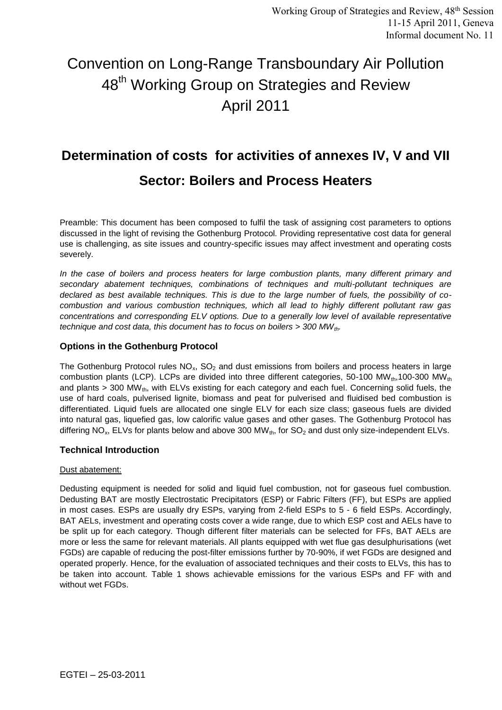# Convention on Long-Range Transboundary Air Pollution 48<sup>th</sup> Working Group on Strategies and Review April 2011

# **Determination of costs for activities of annexes IV, V and VII**

# **Sector: Boilers and Process Heaters**

Preamble: This document has been composed to fulfil the task of assigning cost parameters to options discussed in the light of revising the Gothenburg Protocol. Providing representative cost data for general use is challenging, as site issues and country-specific issues may affect investment and operating costs severely.

*In the case of boilers and process heaters for large combustion plants, many different primary and secondary abatement techniques, combinations of techniques and multi-pollutant techniques are declared as best available techniques. This is due to the large number of fuels, the possibility of cocombustion and various combustion techniques, which all lead to highly different pollutant raw gas concentrations and corresponding ELV options. Due to a generally low level of available representative technique and cost data, this document has to focus on boilers > 300 MWth.* 

# **Options in the Gothenburg Protocol**

The Gothenburg Protocol rules  $NO<sub>x</sub>$ , SO<sub>2</sub> and dust emissions from boilers and process heaters in large combustion plants (LCP). LCPs are divided into three different categories, 50-100 MWt<sub>h</sub>,100-300 MW<sub>th</sub> and plants  $>$  300 MW<sub>th</sub>, with ELVs existing for each category and each fuel. Concerning solid fuels, the use of hard coals, pulverised lignite, biomass and peat for pulverised and fluidised bed combustion is differentiated. Liquid fuels are allocated one single ELV for each size class; gaseous fuels are divided into natural gas, liquefied gas, low calorific value gases and other gases. The Gothenburg Protocol has differing NO<sub>x</sub>, ELVs for plants below and above 300 MW<sub>th</sub>, for SO<sub>2</sub> and dust only size-independent ELVs.

# **Technical Introduction**

# Dust abatement:

Dedusting equipment is needed for solid and liquid fuel combustion, not for gaseous fuel combustion. Dedusting BAT are mostly Electrostatic Precipitators (ESP) or Fabric Filters (FF), but ESPs are applied in most cases. ESPs are usually dry ESPs, varying from 2-field ESPs to 5 - 6 field ESPs. Accordingly, BAT AELs, investment and operating costs cover a wide range, due to which ESP cost and AELs have to be split up for each category. Though different filter materials can be selected for FFs, BAT AELs are more or less the same for relevant materials. All plants equipped with wet flue gas desulphurisations (wet FGDs) are capable of reducing the post-filter emissions further by 70-90%, if wet FGDs are designed and operated properly. Hence, for the evaluation of associated techniques and their costs to ELVs, this has to be taken into account. Table 1 shows achievable emissions for the various ESPs and FF with and without wet FGDs.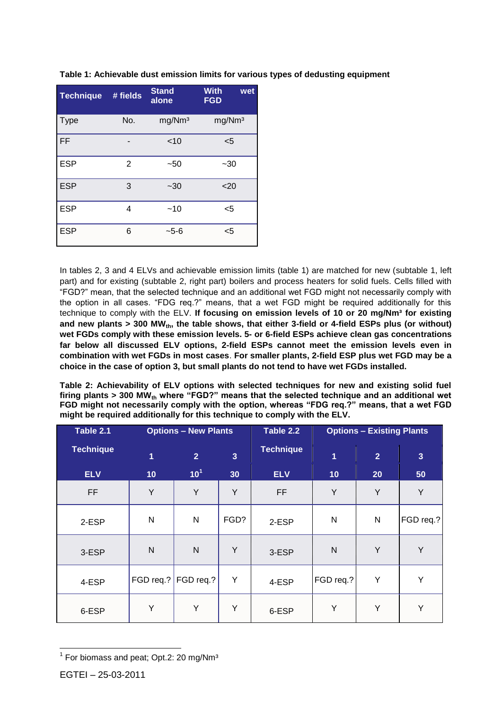| <b>Technique</b> | # fields       | <b>Stand</b><br>alone | <b>With</b><br>wet<br><b>FGD</b> |
|------------------|----------------|-----------------------|----------------------------------|
| <b>Type</b>      | No.            | mg/Nm <sup>3</sup>    | mg/Nm <sup>3</sup>               |
| <b>FF</b>        |                | $<$ 10                | $5$                              |
| <b>ESP</b>       | $\overline{2}$ | $-50$                 | $-30$                            |
| <b>ESP</b>       | 3              | $-30$                 | $20$                             |
| <b>ESP</b>       | 4              | $-10$                 | $5$                              |
| <b>ESP</b>       | 6              | $-5-6$                | $5$                              |

**Table 1: Achievable dust emission limits for various types of dedusting equipment**

In tables 2, 3 and 4 ELVs and achievable emission limits (table 1) are matched for new (subtable 1, left part) and for existing (subtable 2, right part) boilers and process heaters for solid fuels. Cells filled with "FGD?" mean, that the selected technique and an additional wet FGD might not necessarily comply with the option in all cases. "FDG req.?" means, that a wet FGD might be required additionally for this technique to comply with the ELV. If focusing on emission levels of 10 or 20 mg/Nm<sup>3</sup> for existing and new plants > 300 MW<sub>th</sub>, the table shows, that either 3-field or 4-field ESPs plus (or without) **wet FGDs comply with these emission levels. 5- or 6-field ESPs achieve clean gas concentrations far below all discussed ELV options, 2-field ESPs cannot meet the emission levels even in combination with wet FGDs in most cases**. **For smaller plants, 2-field ESP plus wet FGD may be a choice in the case of option 3, but small plants do not tend to have wet FGDs installed.**

**Table 2: Achievability of ELV options with selected techniques for new and existing solid fuel firing plants > 300 MWth where "FGD?" means that the selected technique and an additional wet FGD might not necessarily comply with the option, whereas "FDG req.?" means, that a wet FGD might be required additionally for this technique to comply with the ELV.**

| Table 2.1        | <b>Options - New Plants</b> |                 |                |                  | <b>Options - Existing Plants</b> |                |                |
|------------------|-----------------------------|-----------------|----------------|------------------|----------------------------------|----------------|----------------|
| <b>Technique</b> | 1                           | 2 <sup>1</sup>  | $\overline{3}$ | <b>Technique</b> | $\overline{1}$                   | $\overline{2}$ | $\overline{3}$ |
| <b>ELV</b>       | 10                          | 10 <sup>1</sup> | 30             | <b>ELV</b>       | 10                               | 20             | 50             |
| <b>FF</b>        | Y                           | Y               | Y              | <b>FF</b>        | Y                                | Y              | Y              |
| 2-ESP            | N                           | $\mathsf{N}$    | FGD?           | 2-ESP            | N                                | N              | FGD req.?      |
| 3-ESP            | $\mathsf{N}$                | $\mathsf{N}$    | Y              | 3-ESP            | $\mathsf{N}$                     | Y              | Υ              |
| 4-ESP            | FGD req.?                   | $FGD \nreg.?$   | Υ              | 4-ESP            | FGD req.?                        | Υ              | Υ              |
| 6-ESP            | Y                           | Y               | Y              | 6-ESP            | Υ                                | Y              | Υ              |

 $<sup>1</sup>$  For biomass and peat; Opt.2: 20 mg/Nm $^3$ </sup>

 $\overline{a}$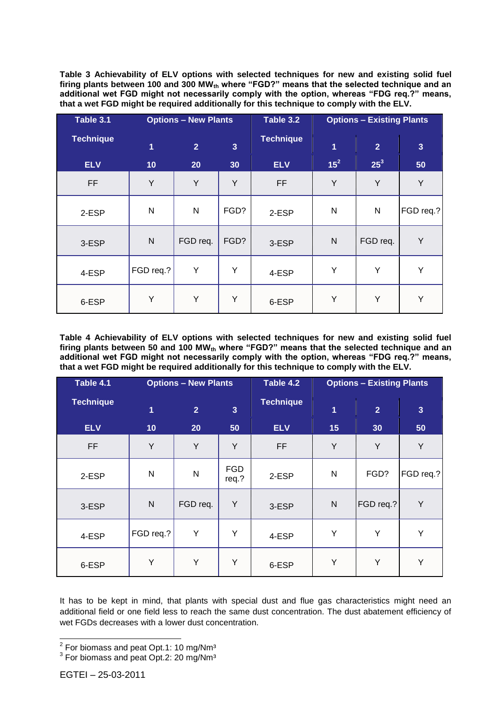**Table 3 Achievability of ELV options with selected techniques for new and existing solid fuel firing plants between 100 and 300 MWth where "FGD?" means that the selected technique and an additional wet FGD might not necessarily comply with the option, whereas "FDG req.?" means, that a wet FGD might be required additionally for this technique to comply with the ELV.**

| Table 3.1        | <b>Options - New Plants</b> |                |                | Table 3.2        | <b>Options - Existing Plants</b> |                |                         |
|------------------|-----------------------------|----------------|----------------|------------------|----------------------------------|----------------|-------------------------|
| <b>Technique</b> | 1                           | $\overline{2}$ | $\overline{3}$ | <b>Technique</b> | $\overline{1}$                   | $\overline{2}$ | $\overline{\mathbf{3}}$ |
| <b>ELV</b>       | 10                          | 20             | 30             | <b>ELV</b>       | $15^2$                           | $25^3$         | 50                      |
| FF               | Y                           | Y              | Y              | <b>FF</b>        | Y                                | Y              | Y                       |
| 2-ESP            | ${\sf N}$                   | N              | FGD?           | 2-ESP            | N                                | N              | FGD req.?               |
| 3-ESP            | ${\sf N}$                   | FGD req.       | FGD?           | 3-ESP            | N                                | FGD req.       | Y                       |
| 4-ESP            | FGD req.?                   | Y              | Y              | 4-ESP            | Y                                | Y              | Y                       |
| 6-ESP            | Y                           | Y              | Y              | 6-ESP            | Y                                | Υ              | Y                       |

**Table 4 Achievability of ELV options with selected techniques for new and existing solid fuel firing plants between 50 and 100 MWth where "FGD?" means that the selected technique and an additional wet FGD might not necessarily comply with the option, whereas "FDG req.?" means, that a wet FGD might be required additionally for this technique to comply with the ELV.**

| Table 4.1        | <b>Options - New Plants</b> |                |                     | Table 4.2        | <b>Options - Existing Plants</b> |                |                         |
|------------------|-----------------------------|----------------|---------------------|------------------|----------------------------------|----------------|-------------------------|
| <b>Technique</b> | 1                           | $\overline{2}$ | $\overline{3}$      | <b>Technique</b> | $\overline{1}$                   | $\overline{2}$ | $\overline{\mathbf{3}}$ |
| <b>ELV</b>       | 10                          | 20             | 50                  | <b>ELV</b>       | 15                               | 30             | 50                      |
| FF               | Y                           | Υ              | Y                   | <b>FF</b>        | Y                                | Υ              | Y                       |
| 2-ESP            | N                           | N              | <b>FGD</b><br>req.? | 2-ESP            | N                                | FGD?           | FGD req.?               |
| 3-ESP            | $\mathsf{N}$                | FGD req.       | Y                   | 3-ESP            | N                                | FGD req.?      | Υ                       |
| 4-ESP            | FGD req.?                   | Y              | Y                   | 4-ESP            | Y                                | Y              | Y                       |
| 6-ESP            | Y                           | Y              | Y                   | 6-ESP            | Y                                | Υ              | Y                       |

It has to be kept in mind, that plants with special dust and flue gas characteristics might need an additional field or one field less to reach the same dust concentration. The dust abatement efficiency of wet FGDs decreases with a lower dust concentration.

 2 For biomass and peat Opt.1: 10 mg/Nm³

<sup>&</sup>lt;sup>3</sup> For biomass and peat Opt.2: 20 mg/Nm<sup>3</sup>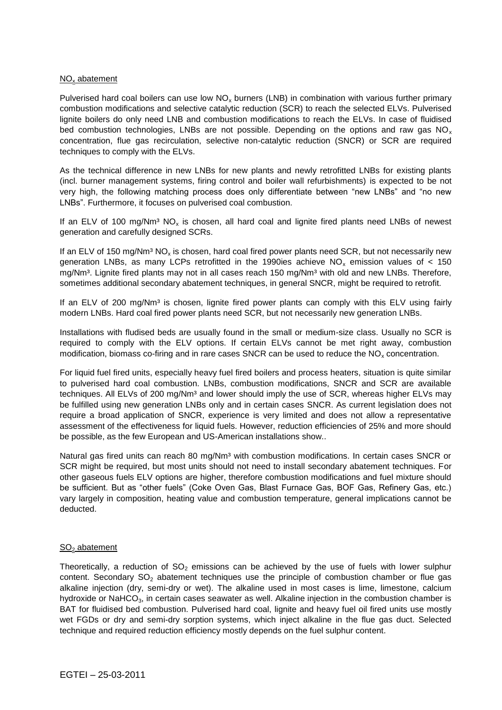### $NO<sub>x</sub>$  abatement

Pulverised hard coal boilers can use low  $NO_x$  burners (LNB) in combination with various further primary combustion modifications and selective catalytic reduction (SCR) to reach the selected ELVs. Pulverised lignite boilers do only need LNB and combustion modifications to reach the ELVs. In case of fluidised bed combustion technologies. LNBs are not possible. Depending on the options and raw gas NO<sub>x</sub> concentration, flue gas recirculation, selective non-catalytic reduction (SNCR) or SCR are required techniques to comply with the ELVs.

As the technical difference in new LNBs for new plants and newly retrofitted LNBs for existing plants (incl. burner management systems, firing control and boiler wall refurbishments) is expected to be not very high, the following matching process does only differentiate between "new LNBs" and "no new LNBs". Furthermore, it focuses on pulverised coal combustion.

If an ELV of 100 mg/Nm<sup>3</sup> NO<sub>x</sub> is chosen, all hard coal and lignite fired plants need LNBs of newest generation and carefully designed SCRs.

If an ELV of 150 mg/Nm<sup>3</sup> NO<sub>x</sub> is chosen, hard coal fired power plants need SCR, but not necessarily new generation LNBs, as many LCPs retrofitted in the 1990ies achieve  $NO<sub>x</sub>$  emission values of < 150 mg/Nm<sup>3</sup>. Lignite fired plants may not in all cases reach 150 mg/Nm<sup>3</sup> with old and new LNBs. Therefore, sometimes additional secondary abatement techniques, in general SNCR, might be required to retrofit.

If an ELV of 200 mg/Nm<sup>3</sup> is chosen, lignite fired power plants can comply with this ELV using fairly modern LNBs. Hard coal fired power plants need SCR, but not necessarily new generation LNBs.

Installations with fludised beds are usually found in the small or medium-size class. Usually no SCR is required to comply with the ELV options. If certain ELVs cannot be met right away, combustion modification, biomass co-firing and in rare cases SNCR can be used to reduce the  $NO<sub>x</sub>$  concentration.

For liquid fuel fired units, especially heavy fuel fired boilers and process heaters, situation is quite similar to pulverised hard coal combustion. LNBs, combustion modifications, SNCR and SCR are available techniques. All ELVs of 200 mg/Nm<sup>3</sup> and lower should imply the use of SCR, whereas higher ELVs may be fulfilled using new generation LNBs only and in certain cases SNCR. As current legislation does not require a broad application of SNCR, experience is very limited and does not allow a representative assessment of the effectiveness for liquid fuels. However, reduction efficiencies of 25% and more should be possible, as the few European and US-American installations show..

Natural gas fired units can reach 80 mg/Nm<sup>3</sup> with combustion modifications. In certain cases SNCR or SCR might be required, but most units should not need to install secondary abatement techniques. For other gaseous fuels ELV options are higher, therefore combustion modifications and fuel mixture should be sufficient. But as "other fuels" (Coke Oven Gas, Blast Furnace Gas, BOF Gas, Refinery Gas, etc.) vary largely in composition, heating value and combustion temperature, general implications cannot be deducted.

### SO<sub>2</sub> abatement

Theoretically, a reduction of  $SO_2$  emissions can be achieved by the use of fuels with lower sulphur content. Secondary  $SO_2$  abatement techniques use the principle of combustion chamber or flue gas alkaline injection (dry, semi-dry or wet). The alkaline used in most cases is lime, limestone, calcium hydroxide or NaHCO<sub>3</sub>, in certain cases seawater as well. Alkaline injection in the combustion chamber is BAT for fluidised bed combustion. Pulverised hard coal, lignite and heavy fuel oil fired units use mostly wet FGDs or dry and semi-dry sorption systems, which inject alkaline in the flue gas duct. Selected technique and required reduction efficiency mostly depends on the fuel sulphur content.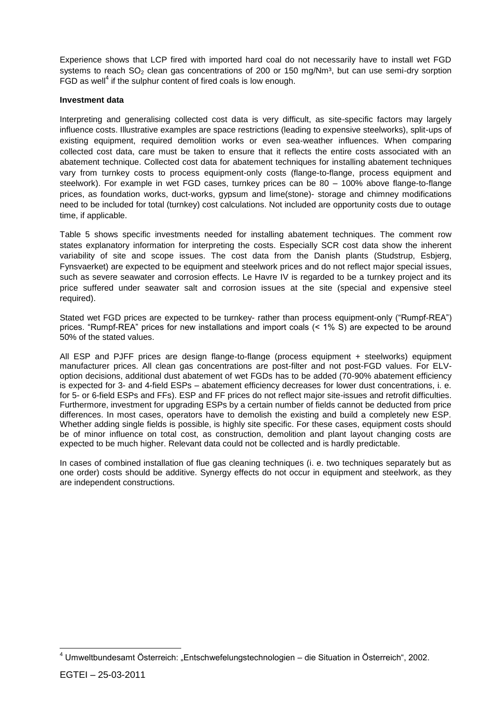Experience shows that LCP fired with imported hard coal do not necessarily have to install wet FGD systems to reach  $SO<sub>2</sub>$  clean gas concentrations of 200 or 150 mg/Nm<sup>3</sup>, but can use semi-dry sorption FGD as well<sup>4</sup> if the sulphur content of fired coals is low enough.

#### **Investment data**

Interpreting and generalising collected cost data is very difficult, as site-specific factors may largely influence costs. Illustrative examples are space restrictions (leading to expensive steelworks), split-ups of existing equipment, required demolition works or even sea-weather influences. When comparing collected cost data, care must be taken to ensure that it reflects the entire costs associated with an abatement technique. Collected cost data for abatement techniques for installing abatement techniques vary from turnkey costs to process equipment-only costs (flange-to-flange, process equipment and steelwork). For example in wet FGD cases, turnkey prices can be 80 – 100% above flange-to-flange prices, as foundation works, duct-works, gypsum and lime(stone)- storage and chimney modifications need to be included for total (turnkey) cost calculations. Not included are opportunity costs due to outage time, if applicable.

Table 5 shows specific investments needed for installing abatement techniques. The comment row states explanatory information for interpreting the costs. Especially SCR cost data show the inherent variability of site and scope issues. The cost data from the Danish plants (Studstrup, Esbjerg, Fynsvaerket) are expected to be equipment and steelwork prices and do not reflect major special issues, such as severe seawater and corrosion effects. Le Havre IV is regarded to be a turnkey project and its price suffered under seawater salt and corrosion issues at the site (special and expensive steel required).

Stated wet FGD prices are expected to be turnkey- rather than process equipment-only ("Rumpf-REA") prices. "Rumpf-REA" prices for new installations and import coals (< 1% S) are expected to be around 50% of the stated values.

All ESP and PJFF prices are design flange-to-flange (process equipment + steelworks) equipment manufacturer prices. All clean gas concentrations are post-filter and not post-FGD values. For ELVoption decisions, additional dust abatement of wet FGDs has to be added (70-90% abatement efficiency is expected for 3- and 4-field ESPs – abatement efficiency decreases for lower dust concentrations, i. e. for 5- or 6-field ESPs and FFs). ESP and FF prices do not reflect major site-issues and retrofit difficulties. Furthermore, investment for upgrading ESPs by a certain number of fields cannot be deducted from price differences. In most cases, operators have to demolish the existing and build a completely new ESP. Whether adding single fields is possible, is highly site specific. For these cases, equipment costs should be of minor influence on total cost, as construction, demolition and plant layout changing costs are expected to be much higher. Relevant data could not be collected and is hardly predictable.

In cases of combined installation of flue gas cleaning techniques (i. e. two techniques separately but as one order) costs should be additive. Synergy effects do not occur in equipment and steelwork, as they are independent constructions.

 $\overline{a}$ 

<sup>&</sup>lt;sup>4</sup> Umweltbundesamt Österreich: "Entschwefelungstechnologien – die Situation in Österreich", 2002.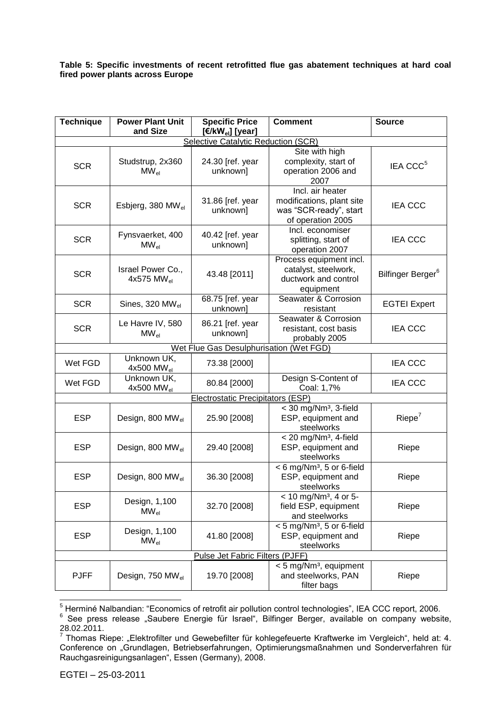### **Table 5: Specific investments of recent retrofitted flue gas abatement techniques at hard coal fired power plants across Europe**

| <b>Technique</b>                         | <b>Power Plant Unit</b><br>and Size         | <b>Specific Price</b><br>[ $\epsilon$ /kW <sub>el</sub> ] [year] | <b>Comment</b>                                                                               | <b>Source</b>                 |  |  |  |  |
|------------------------------------------|---------------------------------------------|------------------------------------------------------------------|----------------------------------------------------------------------------------------------|-------------------------------|--|--|--|--|
| Selective Catalytic Reduction (SCR)      |                                             |                                                                  |                                                                                              |                               |  |  |  |  |
| <b>SCR</b>                               | Studstrup, 2x360<br>$MW_{el}$               | 24.30 [ref. year<br>unknown]                                     | Site with high<br>complexity, start of<br>operation 2006 and<br>2007                         | IEA CCC <sup>5</sup>          |  |  |  |  |
| <b>SCR</b>                               | Esbjerg, 380 MW <sub>el</sub>               | 31.86 [ref. year<br>unknown]                                     | Incl. air heater<br>modifications, plant site<br>was "SCR-ready", start<br>of operation 2005 | <b>IEA CCC</b>                |  |  |  |  |
| <b>SCR</b>                               | Fynsvaerket, 400<br>$MW_{el}$               | 40.42 [ref. year<br>unknown]                                     | Incl. economiser<br>splitting, start of<br>operation 2007                                    | <b>IEA CCC</b>                |  |  |  |  |
| <b>SCR</b>                               | Israel Power Co.,<br>4x575 MW <sub>el</sub> | 43.48 [2011]                                                     | Process equipment incl.<br>catalyst, steelwork,<br>ductwork and control<br>equipment         | Bilfinger Berger <sup>6</sup> |  |  |  |  |
| <b>SCR</b>                               | Sines, 320 $MW_{el}$                        | 68.75 [ref. year<br>unknown]                                     | Seawater & Corrosion<br>resistant                                                            | <b>EGTEI Expert</b>           |  |  |  |  |
| <b>SCR</b>                               | Le Havre IV, 580<br>$MW_{el}$               | 86.21 [ref. year<br>unknown]                                     | Seawater & Corrosion<br>resistant, cost basis<br>probably 2005                               | <b>IEA CCC</b>                |  |  |  |  |
| Wet Flue Gas Desulphurisation (Wet FGD)  |                                             |                                                                  |                                                                                              |                               |  |  |  |  |
| Wet FGD                                  | Unknown UK,<br>$4x500$ MW <sub>el</sub>     | 73.38 [2000]                                                     |                                                                                              | <b>IEA CCC</b>                |  |  |  |  |
| Wet FGD                                  | Unknown UK,<br>4x500 MW $_{el}$             | 80.84 [2000]                                                     | Design S-Content of<br>Coal: 1,7%                                                            | <b>IEA CCC</b>                |  |  |  |  |
| <b>Electrostatic Precipitators (ESP)</b> |                                             |                                                                  |                                                                                              |                               |  |  |  |  |
| <b>ESP</b>                               | Design, 800 MW <sub>el</sub>                | 25.90 [2008]                                                     | $<$ 30 mg/Nm <sup>3</sup> , 3-field<br>ESP, equipment and<br>steelworks                      | Riepe <sup>7</sup>            |  |  |  |  |
| <b>ESP</b>                               | Design, 800 MW <sub>el</sub>                | 29.40 [2008]                                                     | $<$ 20 mg/Nm <sup>3</sup> , 4-field<br>ESP, equipment and<br>steelworks                      | Riepe                         |  |  |  |  |
| <b>ESP</b>                               | Design, 800 MW <sub>el</sub>                | 36.30 [2008]                                                     | < 6 mg/Nm <sup>3</sup> , 5 or 6-field<br>ESP, equipment and<br>steelworks                    | Riepe                         |  |  |  |  |
| <b>ESP</b>                               | Design, 1,100<br>$MW_{el}$                  | 32.70 [2008]                                                     | $< 10$ mg/Nm <sup>3</sup> , 4 or 5-<br>field ESP, equipment<br>and steelworks                | Riepe                         |  |  |  |  |
| <b>ESP</b>                               | Design, 1,100<br>$MW_{el}$                  | 41.80 [2008]                                                     | < 5 mg/Nm <sup>3</sup> , 5 or 6-field<br>ESP, equipment and<br>steelworks                    | Riepe                         |  |  |  |  |
|                                          |                                             | Pulse Jet Fabric Filters (PJFF)                                  |                                                                                              |                               |  |  |  |  |
| <b>PJFF</b>                              | Design, 750 MW <sub>el</sub>                | 19.70 [2008]                                                     | < 5 mg/Nm <sup>3</sup> , equipment<br>and steelworks, PAN<br>filter bags                     | Riepe                         |  |  |  |  |

 <sup>5</sup> Herminé Nalbandian: "Economics of retrofit air pollution control technologies", IEA CCC report, 2006.<br><sup>6</sup> See press release "Saubere Energie für Israel", Bilfinger Berger, available on company website,

<sup>28.02.2011.&</sup>lt;br><sup>7</sup> Thomas B

Thomas Riepe: "Elektrofilter und Gewebefilter für kohlegefeuerte Kraftwerke im Vergleich", held at: 4. Conference on "Grundlagen, Betriebserfahrungen, Optimierungsmaßnahmen und Sonderverfahren für Rauchgasreinigungsanlagen", Essen (Germany), 2008.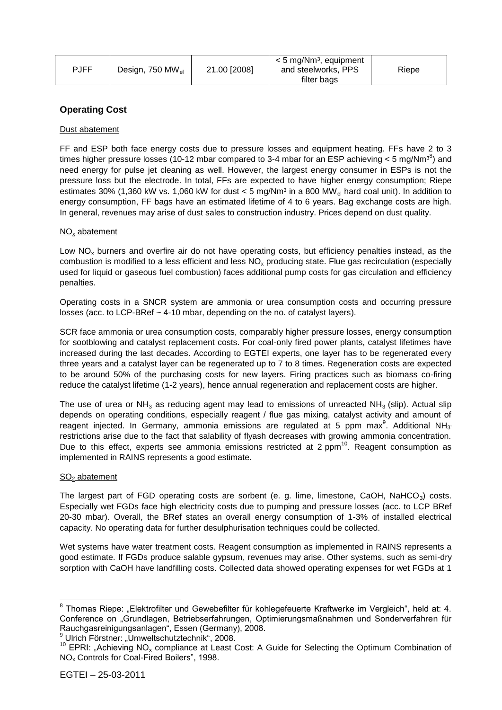| PJFF | Design, 750 MW <sub>el</sub> | 21.00 [2008] | < 5 mg/Nm <sup>3</sup> , equipment<br>and steelworks, PPS<br>filter bags | Riepe |
|------|------------------------------|--------------|--------------------------------------------------------------------------|-------|
|------|------------------------------|--------------|--------------------------------------------------------------------------|-------|

# **Operating Cost**

#### Dust abatement

FF and ESP both face energy costs due to pressure losses and equipment heating. FFs have 2 to 3 times higher pressure losses (10-12 mbar compared to 3-4 mbar for an ESP achieving  $<$  5 mg/Nm<sup>38</sup>) and need energy for pulse jet cleaning as well. However, the largest energy consumer in ESPs is not the pressure loss but the electrode. In total, FFs are expected to have higher energy consumption; Riepe estimates 30% (1,360 kW vs. 1,060 kW for dust < 5 mg/ $Nm^3$  in a 800 MW<sub>el</sub> hard coal unit). In addition to energy consumption, FF bags have an estimated lifetime of 4 to 6 years. Bag exchange costs are high. In general, revenues may arise of dust sales to construction industry. Prices depend on dust quality.

#### $NO<sub>x</sub>$  abatement

Low  $NO<sub>x</sub>$  burners and overfire air do not have operating costs, but efficiency penalties instead, as the combustion is modified to a less efficient and less  $NO<sub>x</sub>$  producing state. Flue gas recirculation (especially used for liquid or gaseous fuel combustion) faces additional pump costs for gas circulation and efficiency penalties.

Operating costs in a SNCR system are ammonia or urea consumption costs and occurring pressure losses (acc. to LCP-BRef  $\sim$  4-10 mbar, depending on the no. of catalyst layers).

SCR face ammonia or urea consumption costs, comparably higher pressure losses, energy consumption for sootblowing and catalyst replacement costs. For coal-only fired power plants, catalyst lifetimes have increased during the last decades. According to EGTEI experts, one layer has to be regenerated every three years and a catalyst layer can be regenerated up to 7 to 8 times. Regeneration costs are expected to be around 50% of the purchasing costs for new layers. Firing practices such as biomass co-firing reduce the catalyst lifetime (1-2 years), hence annual regeneration and replacement costs are higher.

The use of urea or  $NH_3$  as reducing agent may lead to emissions of unreacted  $NH_3$  (slip). Actual slip depends on operating conditions, especially reagent / flue gas mixing, catalyst activity and amount of reagent injected. In Germany, ammonia emissions are regulated at 5 ppm max<sup>9</sup>. Additional NH<sub>3</sub> restrictions arise due to the fact that salability of flyash decreases with growing ammonia concentration. Due to this effect, experts see ammonia emissions restricted at 2 ppm $^{10}$ . Reagent consumption as implemented in RAINS represents a good estimate.

#### $SO<sub>2</sub>$  abatement

The largest part of FGD operating costs are sorbent (e. g. lime, limestone, CaOH, NaHCO<sub>3</sub>) costs. Especially wet FGDs face high electricity costs due to pumping and pressure losses (acc. to LCP BRef 20-30 mbar). Overall, the BRef states an overall energy consumption of 1-3% of installed electrical capacity. No operating data for further desulphurisation techniques could be collected.

Wet systems have water treatment costs. Reagent consumption as implemented in RAINS represents a good estimate. If FGDs produce salable gypsum, revenues may arise. Other systems, such as semi-dry sorption with CaOH have landfilling costs. Collected data showed operating expenses for wet FGDs at 1

<sup>&</sup>lt;sup>8</sup> Thomas Riepe: "Elektrofilter und Gewebefilter für kohlegefeuerte Kraftwerke im Vergleich", held at: 4. Conference on "Grundlagen, Betriebserfahrungen, Optimierungsmaßnahmen und Sonderverfahren für Rauchgasreinigungsanlagen", Essen (Germany), 2008.

 $9$  Ulrich Förstner: "Umweltschutztechnik", 2008.

<sup>&</sup>lt;sup>10</sup> EPRI: "Achieving NO<sub>x</sub> compliance at Least Cost: A Guide for Selecting the Optimum Combination of NO<sup>x</sup> Controls for Coal-Fired Boilers", 1998.